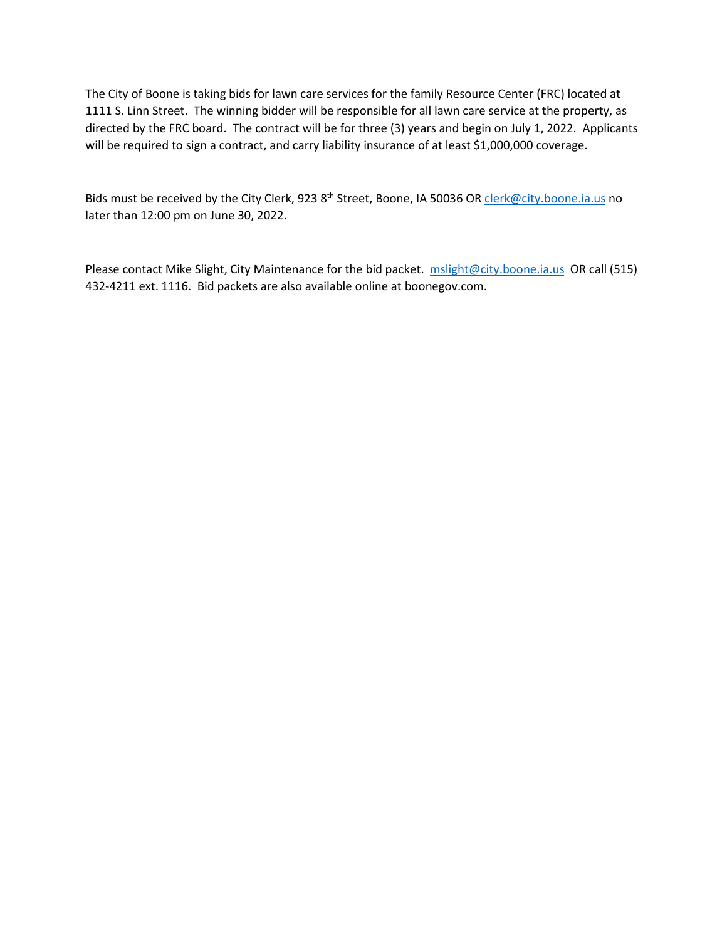The City of Boone is taking bids for lawn care services for the family Resource Center (FRC) located at 1111 S. Linn Street. The winning bidder will be responsible for all lawn care service at the property, as directed by the FRC board. The contract will be for three (3) years and begin on July 1, 2022. Applicants will be required to sign a contract, and carry liability insurance of at least \$1,000,000 coverage.

Bids must be received by the City Clerk, 923 8<sup>th</sup> Street, Boone, IA 50036 OR [clerk@city.boone.ia.us](mailto:clerk@city.boone.ia.us) no later than 12:00 pm on June 30, 2022.

Please contact Mike Slight, City Maintenance for the bid packet. [mslight@city.boone.ia.us](mailto:cclark@city.boone.ia.us) OR call (515) 432-4211 ext. 1116. Bid packets are also available online at boonegov.com.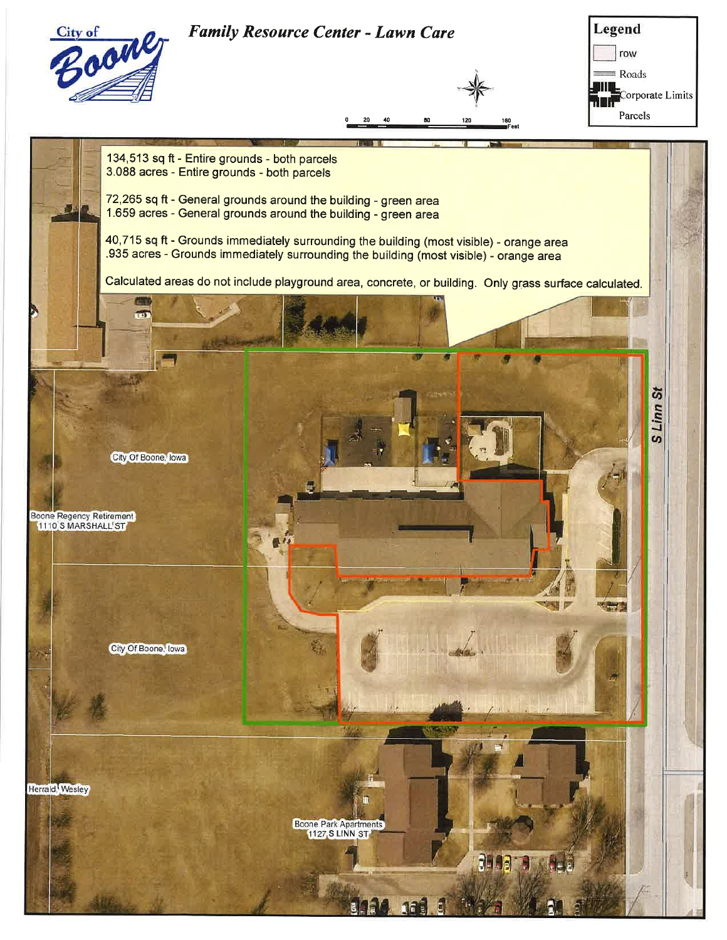